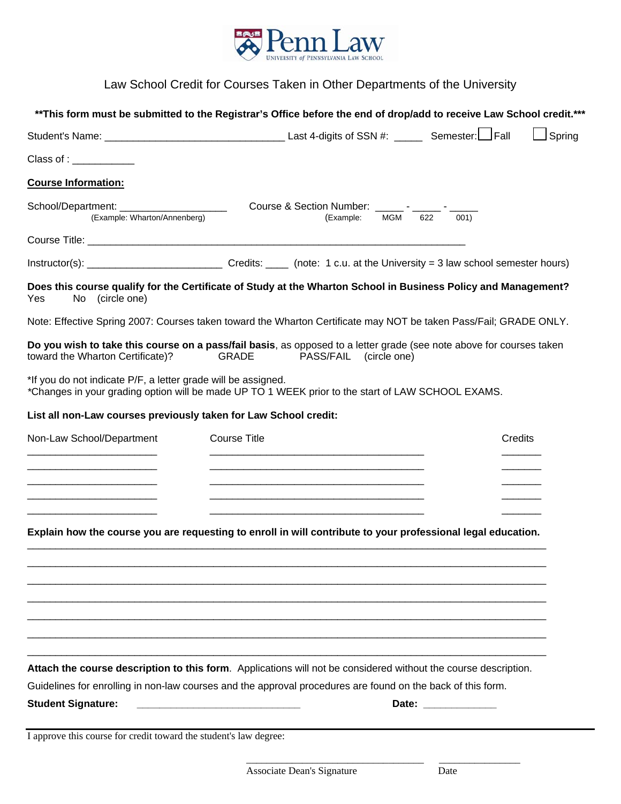

# Law School Credit for Courses Taken in Other Departments of the University

|                                                                            |                                                                                                                                                                                                                                | Spring  |
|----------------------------------------------------------------------------|--------------------------------------------------------------------------------------------------------------------------------------------------------------------------------------------------------------------------------|---------|
| Class of :                                                                 |                                                                                                                                                                                                                                |         |
| <b>Course Information:</b>                                                 |                                                                                                                                                                                                                                |         |
| School/Department: _______________________<br>(Example: Wharton/Annenberg) | Course & Section Number: _______ - ______<br>622<br><b>MGM</b><br>(Example:<br>001)                                                                                                                                            |         |
|                                                                            |                                                                                                                                                                                                                                |         |
|                                                                            |                                                                                                                                                                                                                                |         |
| No (circle one)<br>Yes                                                     | Does this course qualify for the Certificate of Study at the Wharton School in Business Policy and Management?                                                                                                                 |         |
|                                                                            | Note: Effective Spring 2007: Courses taken toward the Wharton Certificate may NOT be taken Pass/Fail; GRADE ONLY.                                                                                                              |         |
| toward the Wharton Certificate)?                                           | Do you wish to take this course on a pass/fail basis, as opposed to a letter grade (see note above for courses taken<br>GRADE<br><b>PASS/FAIL</b><br>(circle one)                                                              |         |
| *If you do not indicate P/F, a letter grade will be assigned.              | *Changes in your grading option will be made UP TO 1 WEEK prior to the start of LAW SCHOOL EXAMS.                                                                                                                              |         |
|                                                                            | List all non-Law courses previously taken for Law School credit:                                                                                                                                                               |         |
| Non-Law School/Department                                                  | <b>Course Title</b>                                                                                                                                                                                                            | Credits |
|                                                                            |                                                                                                                                                                                                                                |         |
|                                                                            |                                                                                                                                                                                                                                |         |
|                                                                            |                                                                                                                                                                                                                                |         |
|                                                                            |                                                                                                                                                                                                                                |         |
|                                                                            | Explain how the course you are requesting to enroll in will contribute to your professional legal education.                                                                                                                   |         |
|                                                                            |                                                                                                                                                                                                                                |         |
|                                                                            |                                                                                                                                                                                                                                |         |
|                                                                            |                                                                                                                                                                                                                                |         |
|                                                                            |                                                                                                                                                                                                                                |         |
|                                                                            |                                                                                                                                                                                                                                |         |
|                                                                            | Attach the course description to this form. Applications will not be considered without the course description.<br>Guidelines for enrolling in non-law courses and the approval procedures are found on the back of this form. |         |

 $\frac{1}{2}$  ,  $\frac{1}{2}$  ,  $\frac{1}{2}$  ,  $\frac{1}{2}$  ,  $\frac{1}{2}$  ,  $\frac{1}{2}$  ,  $\frac{1}{2}$  ,  $\frac{1}{2}$  ,  $\frac{1}{2}$  ,  $\frac{1}{2}$  ,  $\frac{1}{2}$  ,  $\frac{1}{2}$  ,  $\frac{1}{2}$  ,  $\frac{1}{2}$  ,  $\frac{1}{2}$  ,  $\frac{1}{2}$  ,  $\frac{1}{2}$  ,  $\frac{1}{2}$  ,  $\frac{1$